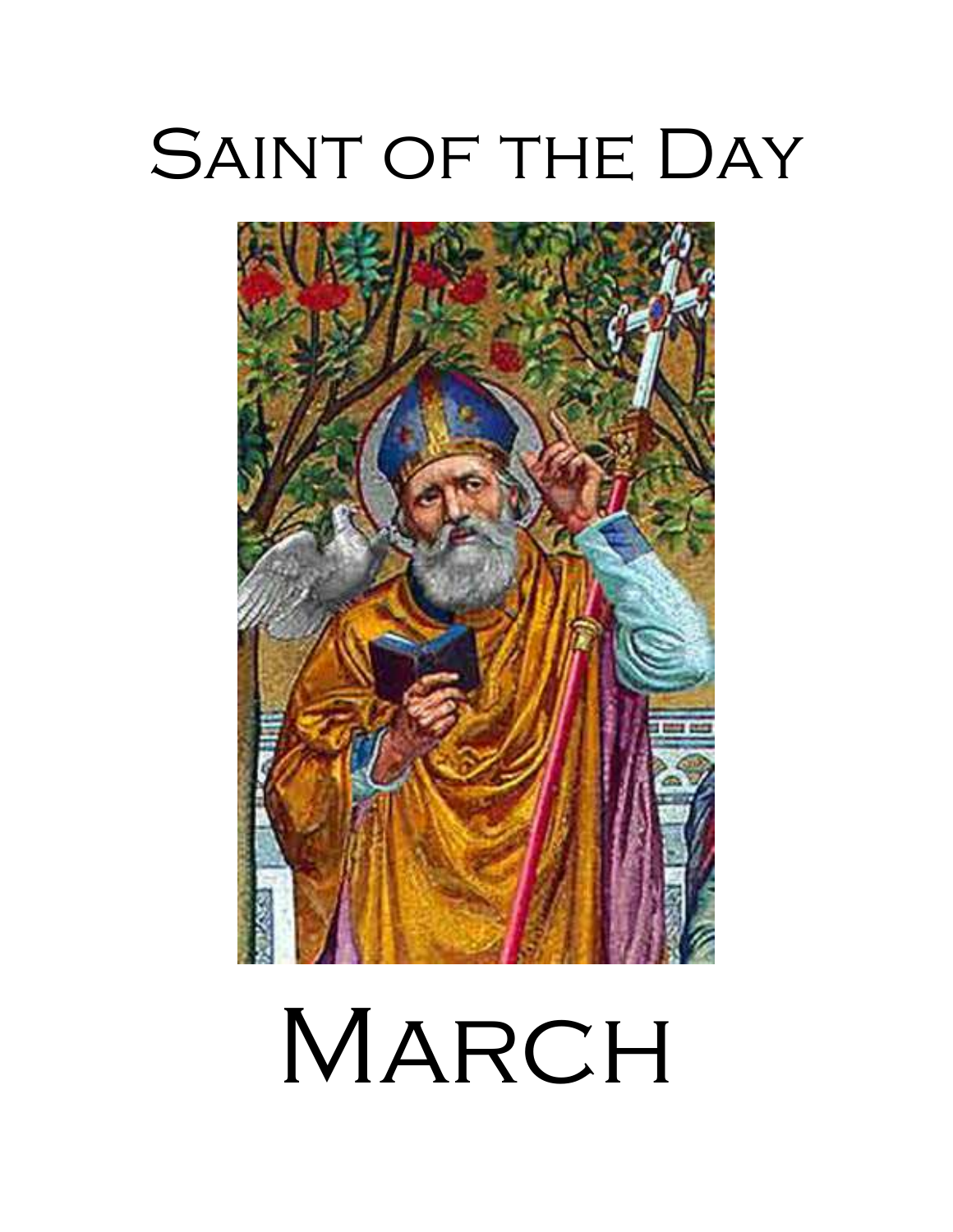# SAINT OF THE DAY



MARCH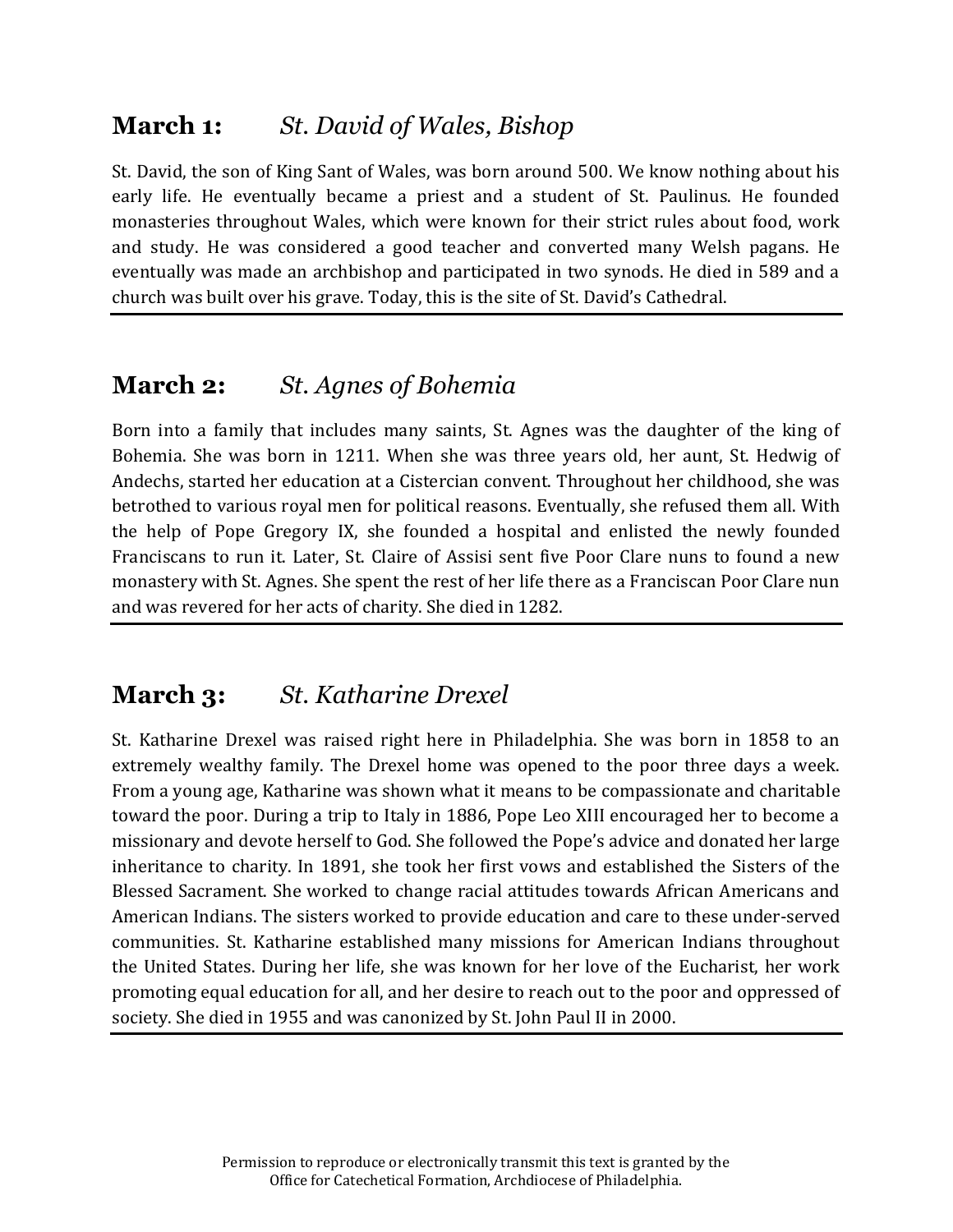# **March 1:** *St. David of Wales, Bishop*

St. David, the son of King Sant of Wales, was born around 500. We know nothing about his early life. He eventually became a priest and a student of St. Paulinus. He founded monasteries throughout Wales, which were known for their strict rules about food, work and study. He was considered a good teacher and converted many Welsh pagans. He eventually was made an archbishop and participated in two synods. He died in 589 and a church was built over his grave. Today, this is the site of St. David's Cathedral.

# **March 2:** *St. Agnes of Bohemia*

Born into a family that includes many saints, St. Agnes was the daughter of the king of Bohemia. She was born in 1211. When she was three years old, her aunt, St. Hedwig of Andechs, started her education at a Cistercian convent. Throughout her childhood, she was betrothed to various royal men for political reasons. Eventually, she refused them all. With the help of Pope Gregory IX, she founded a hospital and enlisted the newly founded Franciscans to run it. Later, St. Claire of Assisi sent five Poor Clare nuns to found a new monastery with St. Agnes. She spent the rest of her life there as a Franciscan Poor Clare nun and was revered for her acts of charity. She died in 1282.

### **March 3:** *St. Katharine Drexel*

St. Katharine Drexel was raised right here in Philadelphia. She was born in 1858 to an extremely wealthy family. The Drexel home was opened to the poor three days a week. From a young age, Katharine was shown what it means to be compassionate and charitable toward the poor. During a trip to Italy in 1886, Pope Leo XIII encouraged her to become a missionary and devote herself to God. She followed the Pope's advice and donated her large inheritance to charity. In 1891, she took her first vows and established the Sisters of the Blessed Sacrament. She worked to change racial attitudes towards African Americans and American Indians. The sisters worked to provide education and care to these under-served communities. St. Katharine established many missions for American Indians throughout the United States. During her life, she was known for her love of the Eucharist, her work promoting equal education for all, and her desire to reach out to the poor and oppressed of society. She died in 1955 and was canonized by St. John Paul II in 2000.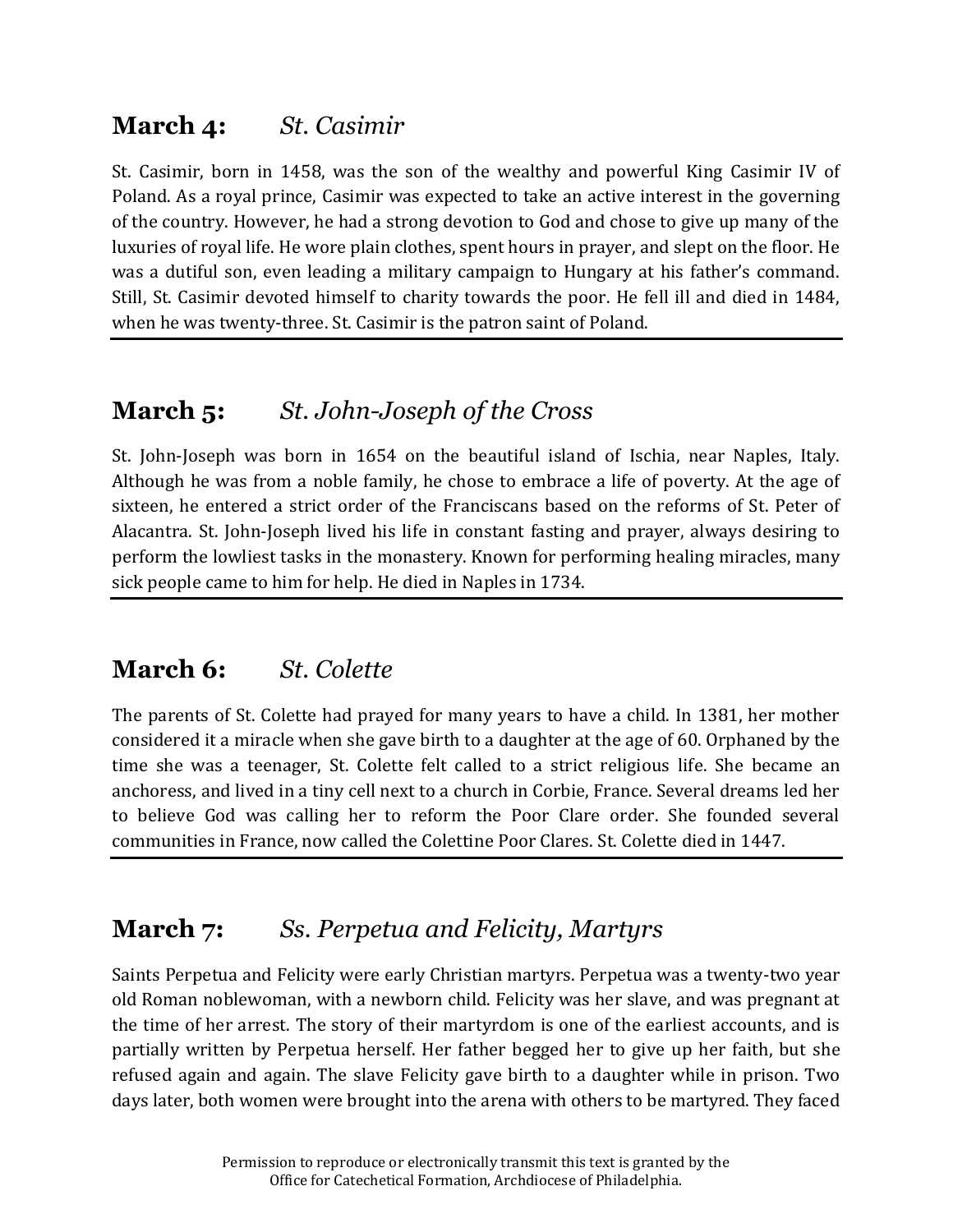# **March 4:** *St. Casimir*

St. Casimir, born in 1458, was the son of the wealthy and powerful King Casimir IV of Poland. As a royal prince, Casimir was expected to take an active interest in the governing of the country. However, he had a strong devotion to God and chose to give up many of the luxuries of royal life. He wore plain clothes, spent hours in prayer, and slept on the floor. He was a dutiful son, even leading a military campaign to Hungary at his father's command. Still, St. Casimir devoted himself to charity towards the poor. He fell ill and died in 1484, when he was twenty-three. St. Casimir is the patron saint of Poland.

# **March 5:** *St. John-Joseph of the Cross*

St. John-Joseph was born in 1654 on the beautiful island of Ischia, near Naples, Italy. Although he was from a noble family, he chose to embrace a life of poverty. At the age of sixteen, he entered a strict order of the Franciscans based on the reforms of St. Peter of Alacantra. St. John-Joseph lived his life in constant fasting and prayer, always desiring to perform the lowliest tasks in the monastery. Known for performing healing miracles, many sick people came to him for help. He died in Naples in 1734.

### **March 6:** *St. Colette*

The parents of St. Colette had prayed for many years to have a child. In 1381, her mother considered it a miracle when she gave birth to a daughter at the age of 60. Orphaned by the time she was a teenager, St. Colette felt called to a strict religious life. She became an anchoress, and lived in a tiny cell next to a church in Corbie, France. Several dreams led her to believe God was calling her to reform the Poor Clare order. She founded several communities in France, now called the Colettine Poor Clares. St. Colette died in 1447.

# **March 7:** *Ss. Perpetua and Felicity, Martyrs*

Saints Perpetua and Felicity were early Christian martyrs. Perpetua was a twenty-two year old Roman noblewoman, with a newborn child. Felicity was her slave, and was pregnant at the time of her arrest. The story of their martyrdom is one of the earliest accounts, and is partially written by Perpetua herself. Her father begged her to give up her faith, but she refused again and again. The slave Felicity gave birth to a daughter while in prison. Two days later, both women were brought into the arena with others to be martyred. They faced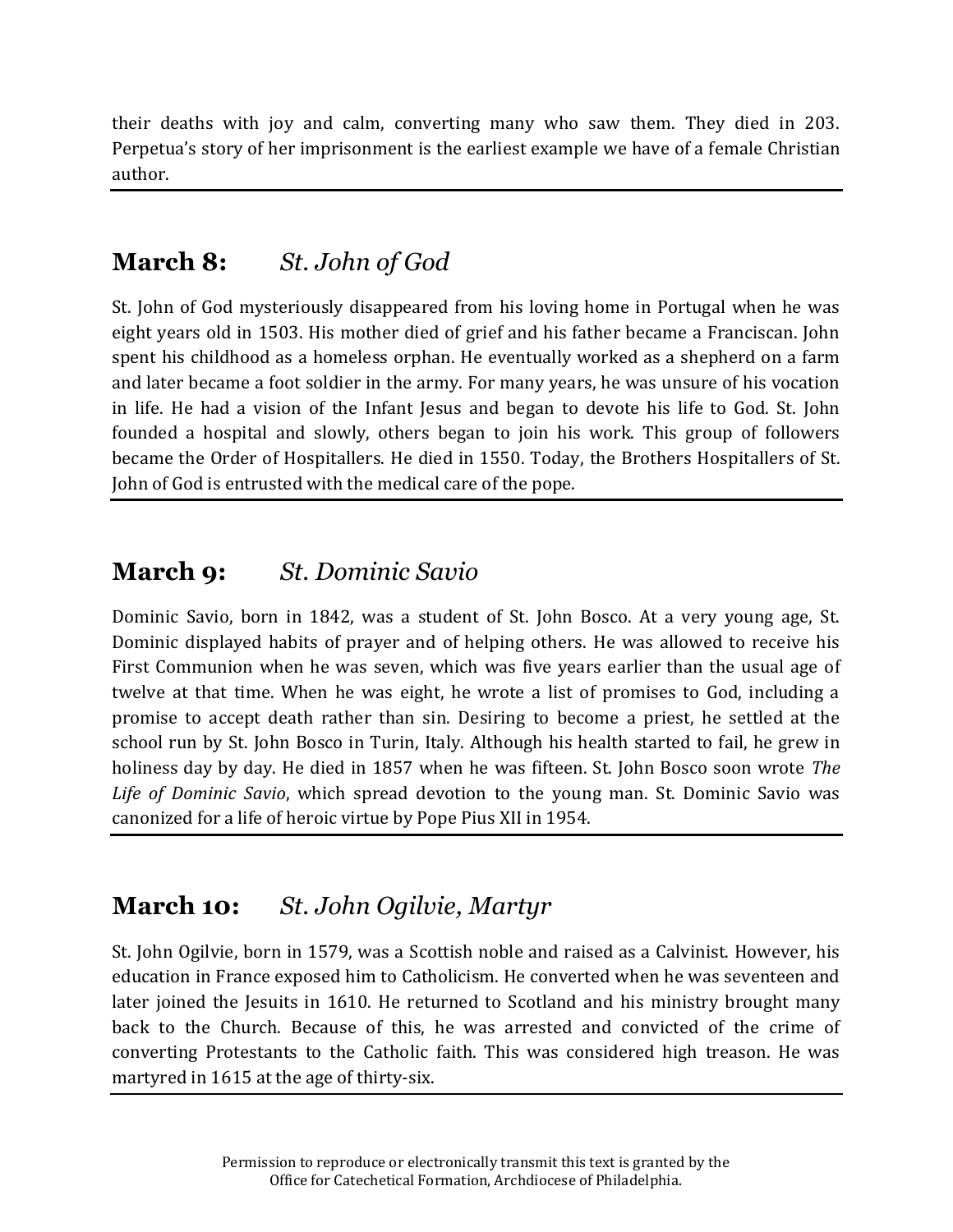their deaths with joy and calm, converting many who saw them. They died in 203. Perpetua's story of her imprisonment is the earliest example we have of a female Christian author.

#### **March 8:** *St. John of God*

St. John of God mysteriously disappeared from his loving home in Portugal when he was eight years old in 1503. His mother died of grief and his father became a Franciscan. John spent his childhood as a homeless orphan. He eventually worked as a shepherd on a farm and later became a foot soldier in the army. For many years, he was unsure of his vocation in life. He had a vision of the Infant Jesus and began to devote his life to God. St. John founded a hospital and slowly, others began to join his work. This group of followers became the Order of Hospitallers. He died in 1550. Today, the Brothers Hospitallers of St. John of God is entrusted with the medical care of the pope.

### **March 9:** *St. Dominic Savio*

Dominic Savio, born in 1842, was a student of St. John Bosco. At a very young age, St. Dominic displayed habits of prayer and of helping others. He was allowed to receive his First Communion when he was seven, which was five years earlier than the usual age of twelve at that time. When he was eight, he wrote a list of promises to God, including a promise to accept death rather than sin. Desiring to become a priest, he settled at the school run by St. John Bosco in Turin, Italy. Although his health started to fail, he grew in holiness day by day. He died in 1857 when he was fifteen. St. John Bosco soon wrote *The Life of Dominic Savio*, which spread devotion to the young man. St. Dominic Savio was canonized for a life of heroic virtue by Pope Pius XII in 1954.

### **March 10:** *St. John Ogilvie, Martyr*

St. John Ogilvie, born in 1579, was a Scottish noble and raised as a Calvinist. However, his education in France exposed him to Catholicism. He converted when he was seventeen and later joined the Jesuits in 1610. He returned to Scotland and his ministry brought many back to the Church. Because of this, he was arrested and convicted of the crime of converting Protestants to the Catholic faith. This was considered high treason. He was martyred in 1615 at the age of thirty-six.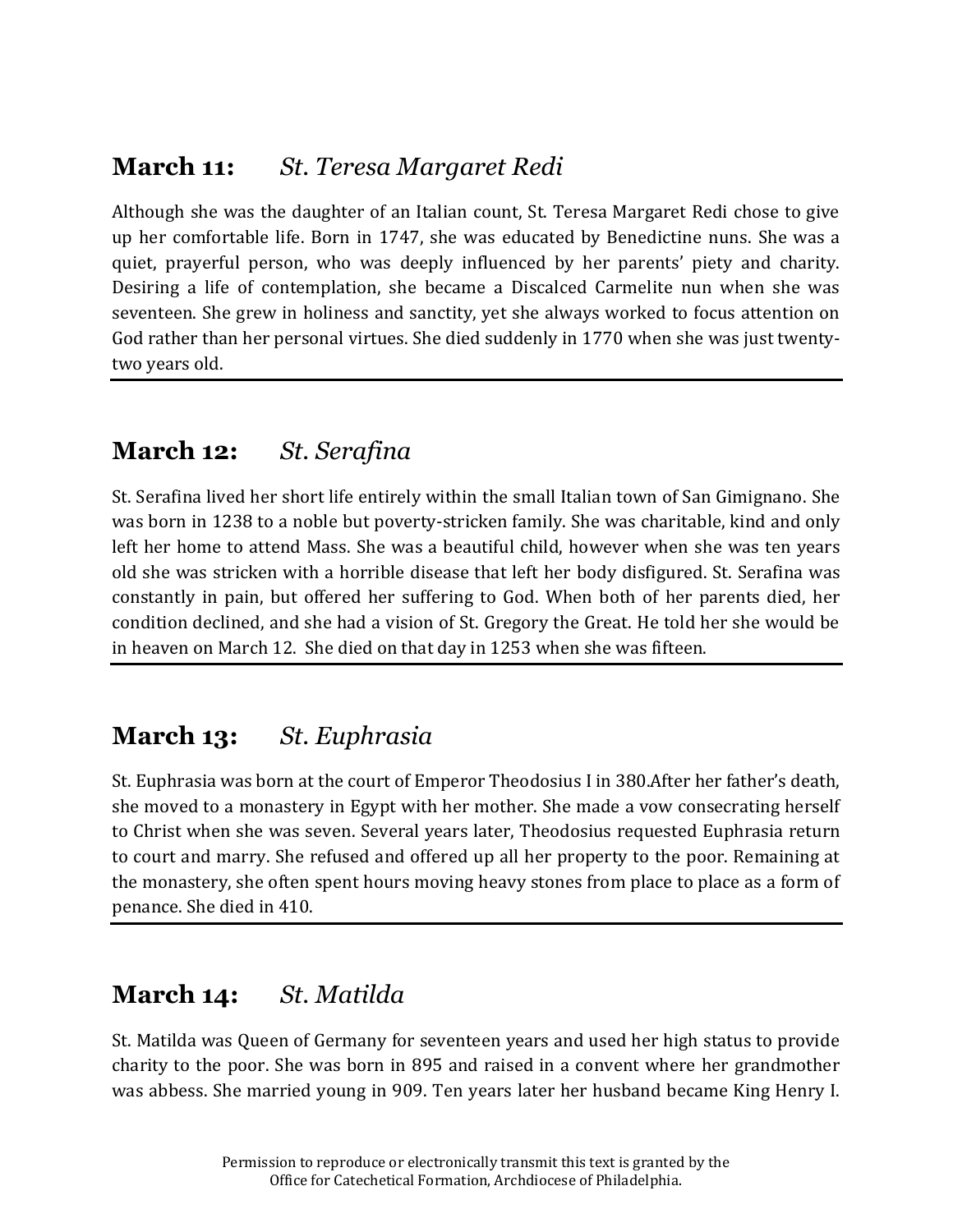#### **March 11:** *St. Teresa Margaret Redi*

Although she was the daughter of an Italian count, St. Teresa Margaret Redi chose to give up her comfortable life. Born in 1747, she was educated by Benedictine nuns. She was a quiet, prayerful person, who was deeply influenced by her parents' piety and charity. Desiring a life of contemplation, she became a Discalced Carmelite nun when she was seventeen. She grew in holiness and sanctity, yet she always worked to focus attention on God rather than her personal virtues. She died suddenly in 1770 when she was just twentytwo years old.

#### **March 12:** *St. Serafina*

St. Serafina lived her short life entirely within the small Italian town of San Gimignano. She was born in 1238 to a noble but poverty-stricken family. She was charitable, kind and only left her home to attend Mass. She was a beautiful child, however when she was ten years old she was stricken with a horrible disease that left her body disfigured. St. Serafina was constantly in pain, but offered her suffering to God. When both of her parents died, her condition declined, and she had a vision of St. Gregory the Great. He told her she would be in heaven on March 12. She died on that day in 1253 when she was fifteen.

### **March 13:** *St. Euphrasia*

St. Euphrasia was born at the court of Emperor Theodosius I in 380.After her father's death, she moved to a monastery in Egypt with her mother. She made a vow consecrating herself to Christ when she was seven. Several years later, Theodosius requested Euphrasia return to court and marry. She refused and offered up all her property to the poor. Remaining at the monastery, she often spent hours moving heavy stones from place to place as a form of penance. She died in 410.

### **March 14:** *St. Matilda*

St. Matilda was Queen of Germany for seventeen years and used her high status to provide charity to the poor. She was born in 895 and raised in a convent where her grandmother was abbess. She married young in 909. Ten years later her husband became King Henry I.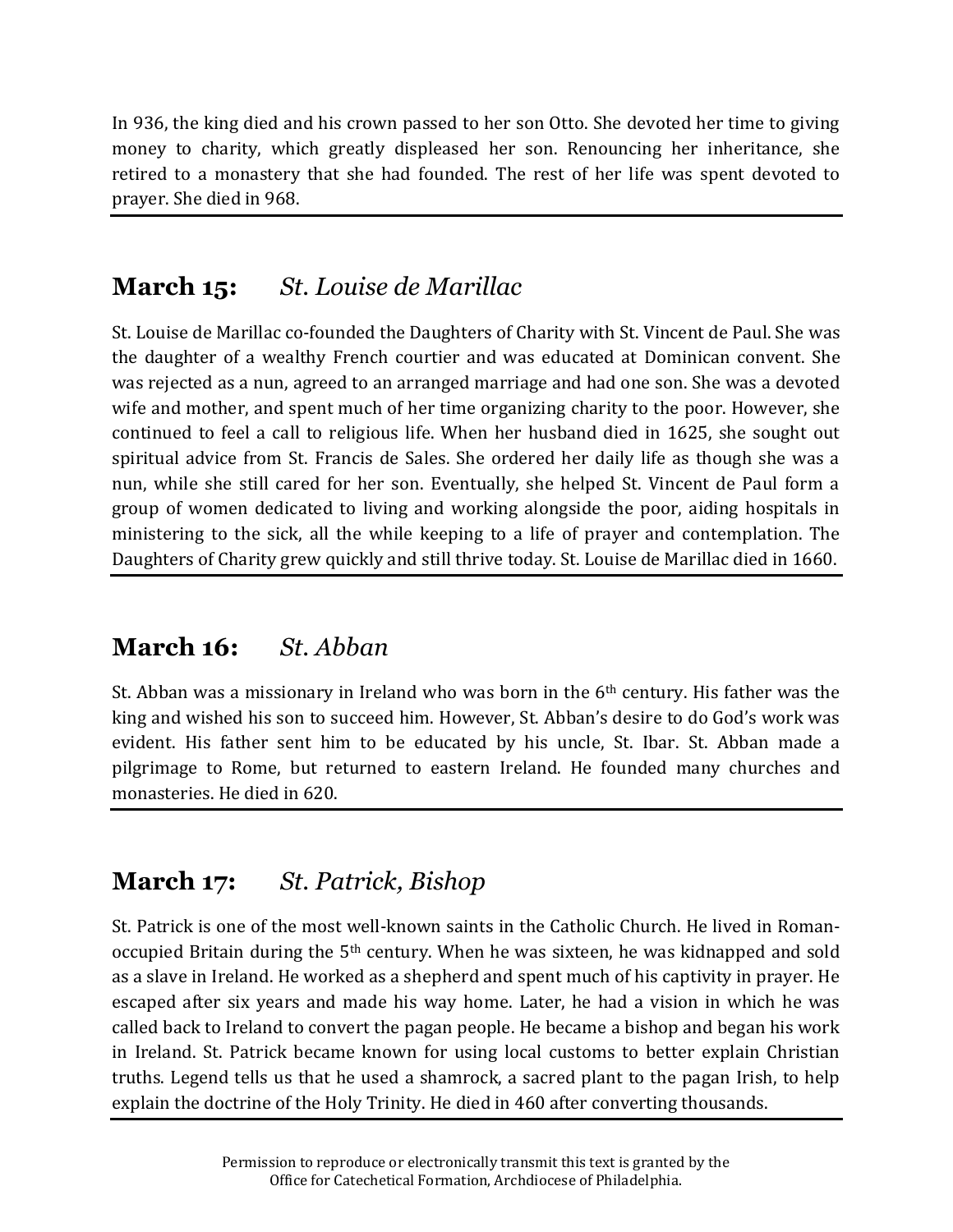In 936, the king died and his crown passed to her son Otto. She devoted her time to giving money to charity, which greatly displeased her son. Renouncing her inheritance, she retired to a monastery that she had founded. The rest of her life was spent devoted to prayer. She died in 968.

# **March 15:** *St. Louise de Marillac*

St. Louise de Marillac co-founded the Daughters of Charity with St. Vincent de Paul. She was the daughter of a wealthy French courtier and was educated at Dominican convent. She was rejected as a nun, agreed to an arranged marriage and had one son. She was a devoted wife and mother, and spent much of her time organizing charity to the poor. However, she continued to feel a call to religious life. When her husband died in 1625, she sought out spiritual advice from St. Francis de Sales. She ordered her daily life as though she was a nun, while she still cared for her son. Eventually, she helped St. Vincent de Paul form a group of women dedicated to living and working alongside the poor, aiding hospitals in ministering to the sick, all the while keeping to a life of prayer and contemplation. The Daughters of Charity grew quickly and still thrive today. St. Louise de Marillac died in 1660.

# **March 16:** *St. Abban*

St. Abban was a missionary in Ireland who was born in the 6<sup>th</sup> century. His father was the king and wished his son to succeed him. However, St. Abban's desire to do God's work was evident. His father sent him to be educated by his uncle, St. Ibar. St. Abban made a pilgrimage to Rome, but returned to eastern Ireland. He founded many churches and monasteries. He died in 620.

# **March 17:** *St. Patrick, Bishop*

St. Patrick is one of the most well-known saints in the Catholic Church. He lived in Romanoccupied Britain during the 5th century. When he was sixteen, he was kidnapped and sold as a slave in Ireland. He worked as a shepherd and spent much of his captivity in prayer. He escaped after six years and made his way home. Later, he had a vision in which he was called back to Ireland to convert the pagan people. He became a bishop and began his work in Ireland. St. Patrick became known for using local customs to better explain Christian truths. Legend tells us that he used a shamrock, a sacred plant to the pagan Irish, to help explain the doctrine of the Holy Trinity. He died in 460 after converting thousands.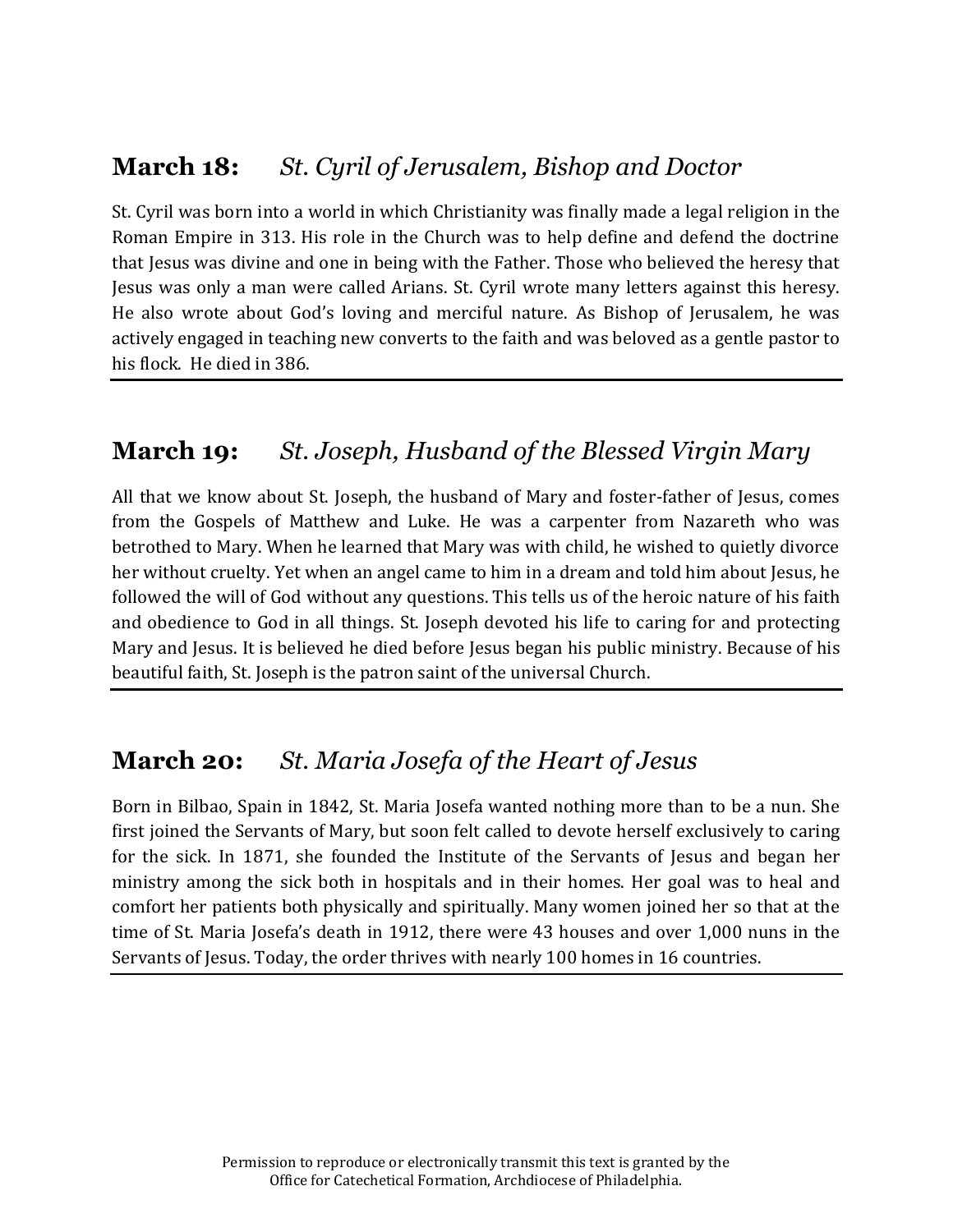## **March 18:** *St. Cyril of Jerusalem, Bishop and Doctor*

St. Cyril was born into a world in which Christianity was finally made a legal religion in the Roman Empire in 313. His role in the Church was to help define and defend the doctrine that Jesus was divine and one in being with the Father. Those who believed the heresy that Jesus was only a man were called Arians. St. Cyril wrote many letters against this heresy. He also wrote about God's loving and merciful nature. As Bishop of Jerusalem, he was actively engaged in teaching new converts to the faith and was beloved as a gentle pastor to his flock. He died in 386.

#### **March 19:** *St. Joseph, Husband of the Blessed Virgin Mary*

All that we know about St. Joseph, the husband of Mary and foster-father of Jesus, comes from the Gospels of Matthew and Luke. He was a carpenter from Nazareth who was betrothed to Mary. When he learned that Mary was with child, he wished to quietly divorce her without cruelty. Yet when an angel came to him in a dream and told him about Jesus, he followed the will of God without any questions. This tells us of the heroic nature of his faith and obedience to God in all things. St. Joseph devoted his life to caring for and protecting Mary and Jesus. It is believed he died before Jesus began his public ministry. Because of his beautiful faith, St. Joseph is the patron saint of the universal Church.

### **March 20:** *St. Maria Josefa of the Heart of Jesus*

Born in Bilbao, Spain in 1842, St. Maria Josefa wanted nothing more than to be a nun. She first joined the Servants of Mary, but soon felt called to devote herself exclusively to caring for the sick. In 1871, she founded the Institute of the Servants of Jesus and began her ministry among the sick both in hospitals and in their homes. Her goal was to heal and comfort her patients both physically and spiritually. Many women joined her so that at the time of St. Maria Josefa's death in 1912, there were 43 houses and over 1,000 nuns in the Servants of Jesus. Today, the order thrives with nearly 100 homes in 16 countries.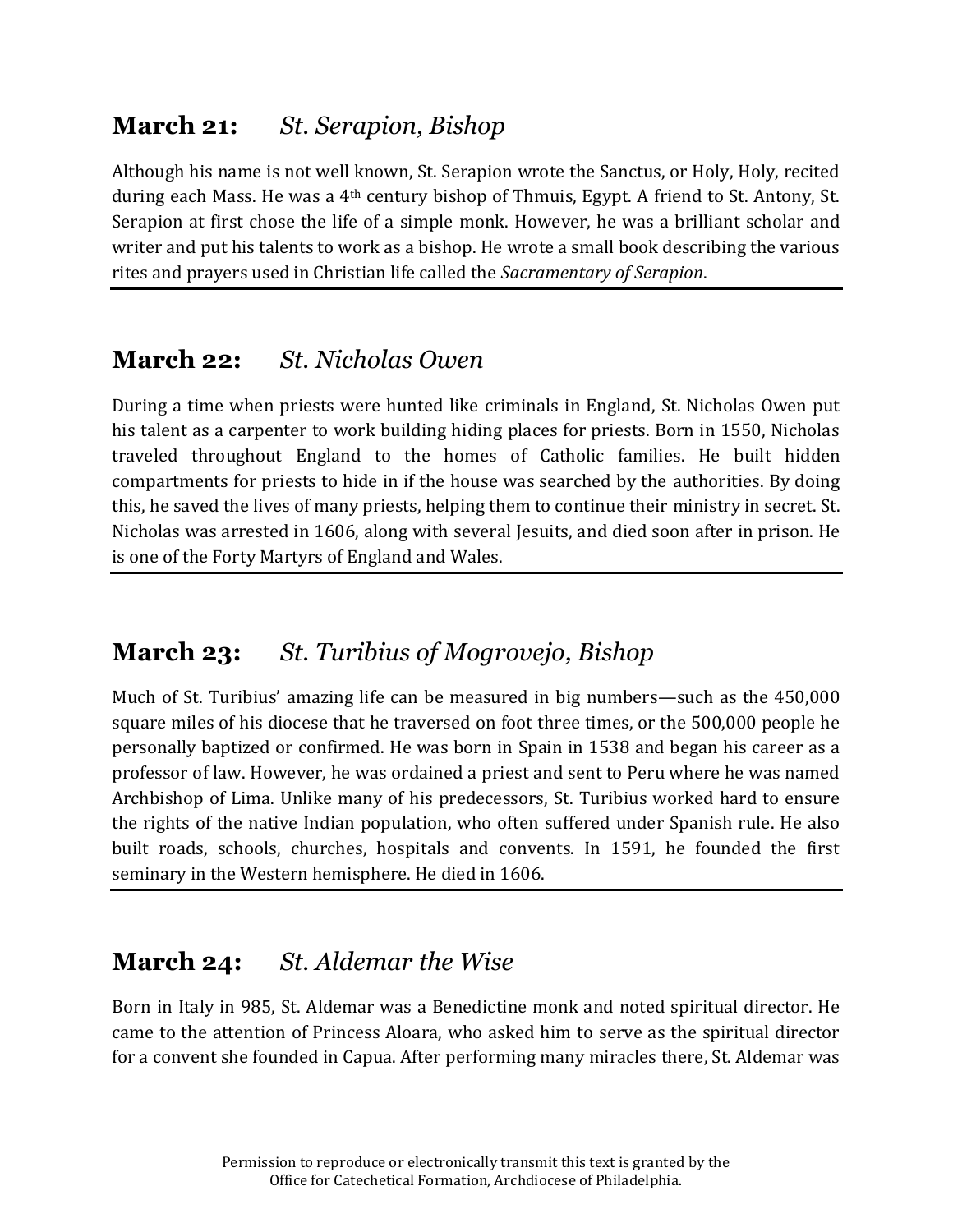# **March 21:** *St. Serapion, Bishop*

Although his name is not well known, St. Serapion wrote the Sanctus, or Holy, Holy, recited during each Mass. He was a 4th century bishop of Thmuis, Egypt. A friend to St. Antony, St. Serapion at first chose the life of a simple monk. However, he was a brilliant scholar and writer and put his talents to work as a bishop. He wrote a small book describing the various rites and prayers used in Christian life called the *Sacramentary of Serapion*.

## **March 22:** *St. Nicholas Owen*

During a time when priests were hunted like criminals in England, St. Nicholas Owen put his talent as a carpenter to work building hiding places for priests. Born in 1550, Nicholas traveled throughout England to the homes of Catholic families. He built hidden compartments for priests to hide in if the house was searched by the authorities. By doing this, he saved the lives of many priests, helping them to continue their ministry in secret. St. Nicholas was arrested in 1606, along with several Jesuits, and died soon after in prison. He is one of the Forty Martyrs of England and Wales.

### **March 23:** *St. Turibius of Mogrovejo, Bishop*

Much of St. Turibius' amazing life can be measured in big numbers—such as the 450,000 square miles of his diocese that he traversed on foot three times, or the 500,000 people he personally baptized or confirmed. He was born in Spain in 1538 and began his career as a professor of law. However, he was ordained a priest and sent to Peru where he was named Archbishop of Lima. Unlike many of his predecessors, St. Turibius worked hard to ensure the rights of the native Indian population, who often suffered under Spanish rule. He also built roads, schools, churches, hospitals and convents. In 1591, he founded the first seminary in the Western hemisphere. He died in 1606.

# **March 24:** *St. Aldemar the Wise*

Born in Italy in 985, St. Aldemar was a Benedictine monk and noted spiritual director. He came to the attention of Princess Aloara, who asked him to serve as the spiritual director for a convent she founded in Capua. After performing many miracles there, St. Aldemar was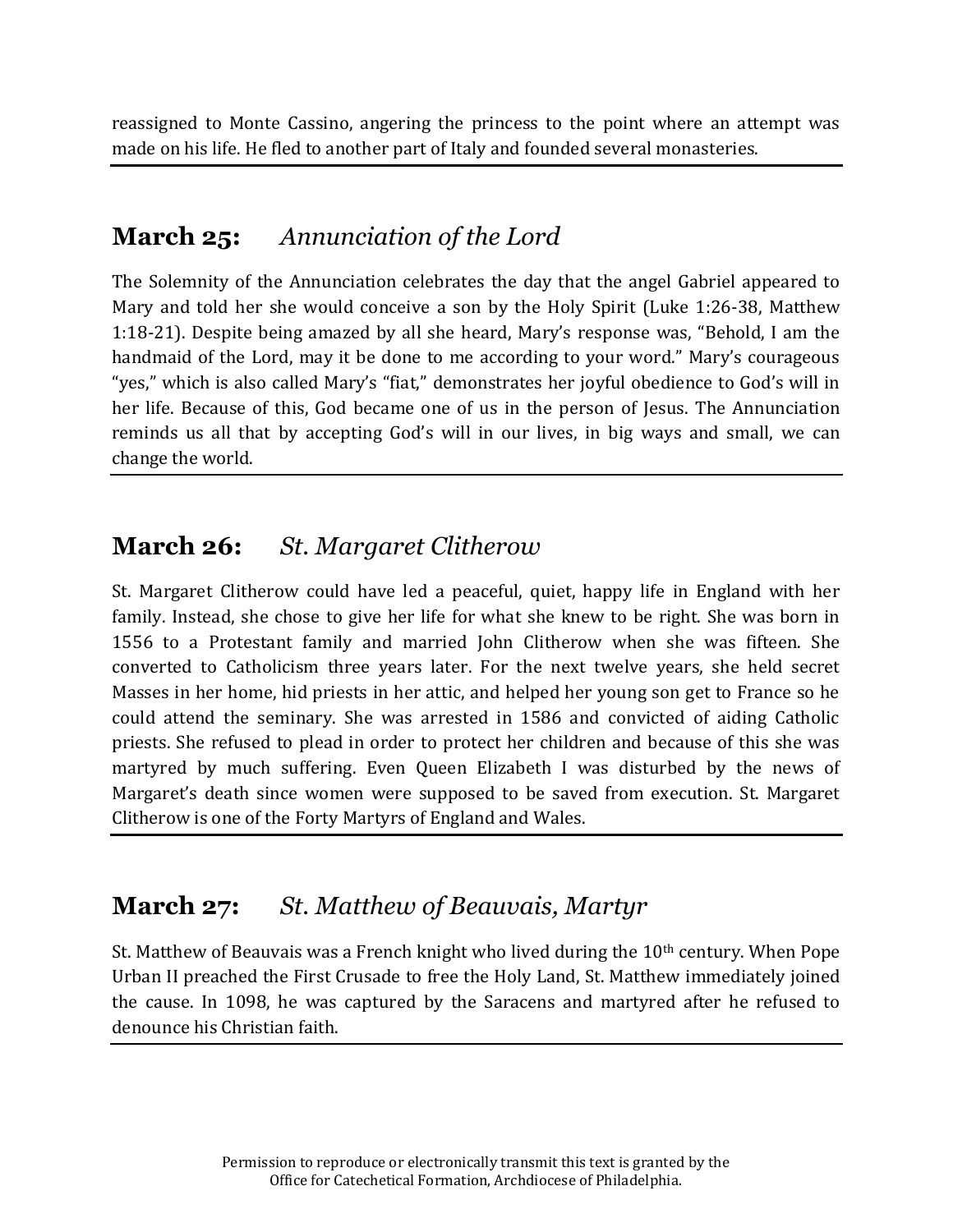reassigned to Monte Cassino, angering the princess to the point where an attempt was made on his life. He fled to another part of Italy and founded several monasteries.

## **March 25:** *Annunciation of the Lord*

The Solemnity of the Annunciation celebrates the day that the angel Gabriel appeared to Mary and told her she would conceive a son by the Holy Spirit (Luke 1:26-38, Matthew 1:18-21). Despite being amazed by all she heard, Mary's response was, "Behold, I am the handmaid of the Lord, may it be done to me according to your word." Mary's courageous "yes," which is also called Mary's "fiat," demonstrates her joyful obedience to God's will in her life. Because of this, God became one of us in the person of Jesus. The Annunciation reminds us all that by accepting God's will in our lives, in big ways and small, we can change the world.

# **March 26:** *St. Margaret Clitherow*

St. Margaret Clitherow could have led a peaceful, quiet, happy life in England with her family. Instead, she chose to give her life for what she knew to be right. She was born in 1556 to a Protestant family and married John Clitherow when she was fifteen. She converted to Catholicism three years later. For the next twelve years, she held secret Masses in her home, hid priests in her attic, and helped her young son get to France so he could attend the seminary. She was arrested in 1586 and convicted of aiding Catholic priests. She refused to plead in order to protect her children and because of this she was martyred by much suffering. Even Queen Elizabeth I was disturbed by the news of Margaret's death since women were supposed to be saved from execution. St. Margaret Clitherow is one of the Forty Martyrs of England and Wales.

# **March 27:** *St. Matthew of Beauvais, Martyr*

St. Matthew of Beauvais was a French knight who lived during the  $10<sup>th</sup>$  century. When Pope Urban II preached the First Crusade to free the Holy Land, St. Matthew immediately joined the cause. In 1098, he was captured by the Saracens and martyred after he refused to denounce his Christian faith.